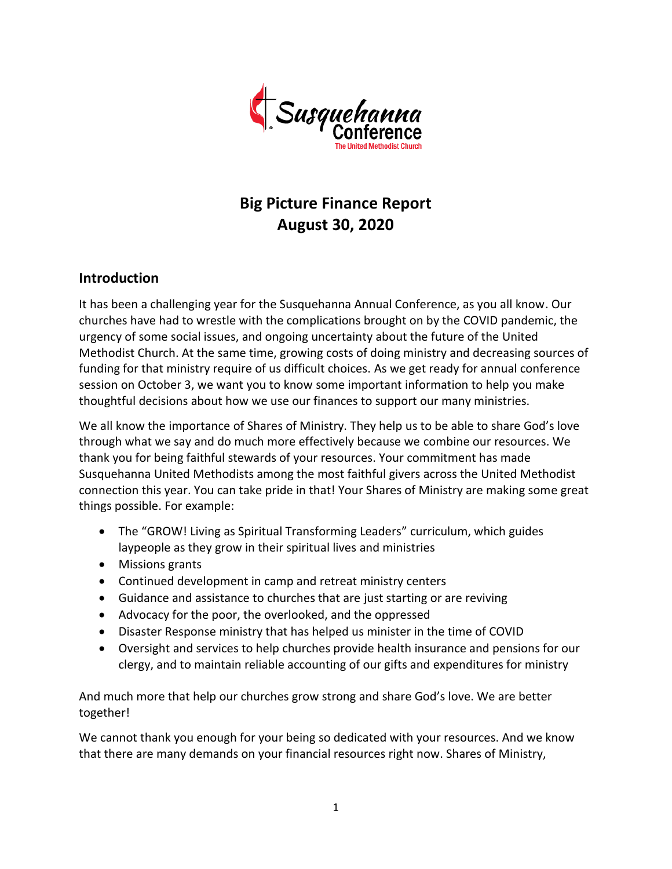

# **Big Picture Finance Report August 30, 2020**

# **Introduction**

It has been a challenging year for the Susquehanna Annual Conference, as you all know. Our churches have had to wrestle with the complications brought on by the COVID pandemic, the urgency of some social issues, and ongoing uncertainty about the future of the United Methodist Church. At the same time, growing costs of doing ministry and decreasing sources of funding for that ministry require of us difficult choices. As we get ready for annual conference session on October 3, we want you to know some important information to help you make thoughtful decisions about how we use our finances to support our many ministries.

We all know the importance of Shares of Ministry. They help us to be able to share God's love through what we say and do much more effectively because we combine our resources. We thank you for being faithful stewards of your resources. Your commitment has made Susquehanna United Methodists among the most faithful givers across the United Methodist connection this year. You can take pride in that! Your Shares of Ministry are making some great things possible. For example:

- The "GROW! Living as Spiritual Transforming Leaders" curriculum, which guides laypeople as they grow in their spiritual lives and ministries
- Missions grants
- Continued development in camp and retreat ministry centers
- Guidance and assistance to churches that are just starting or are reviving
- Advocacy for the poor, the overlooked, and the oppressed
- Disaster Response ministry that has helped us minister in the time of COVID
- Oversight and services to help churches provide health insurance and pensions for our clergy, and to maintain reliable accounting of our gifts and expenditures for ministry

And much more that help our churches grow strong and share God's love. We are better together!

We cannot thank you enough for your being so dedicated with your resources. And we know that there are many demands on your financial resources right now. Shares of Ministry,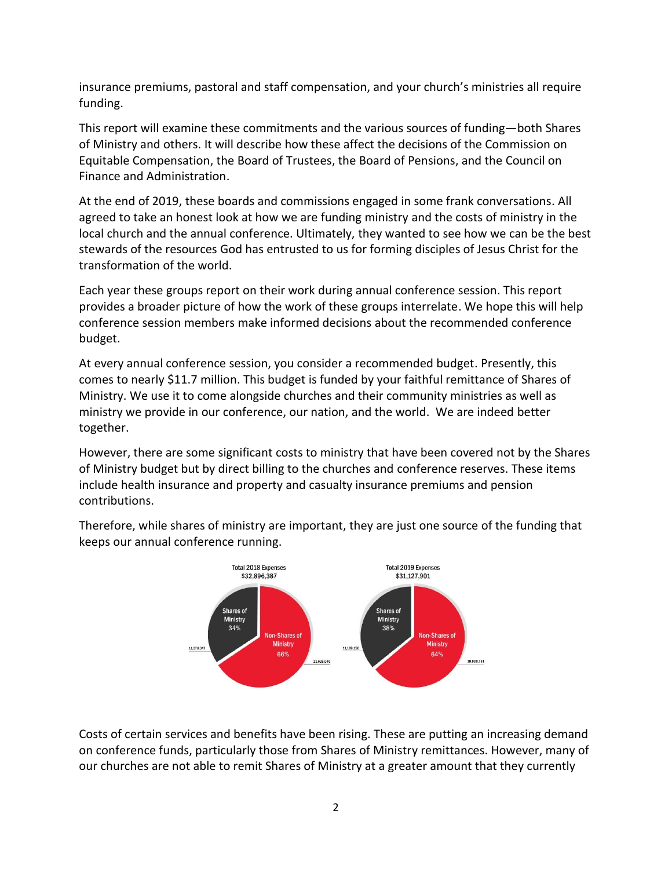insurance premiums, pastoral and staff compensation, and your church's ministries all require funding.

This report will examine these commitments and the various sources of funding—both Shares of Ministry and others. It will describe how these affect the decisions of the Commission on Equitable Compensation, the Board of Trustees, the Board of Pensions, and the Council on Finance and Administration.

At the end of 2019, these boards and commissions engaged in some frank conversations. All agreed to take an honest look at how we are funding ministry and the costs of ministry in the local church and the annual conference. Ultimately, they wanted to see how we can be the best stewards of the resources God has entrusted to us for forming disciples of Jesus Christ for the transformation of the world.

Each year these groups report on their work during annual conference session. This report provides a broader picture of how the work of these groups interrelate. We hope this will help conference session members make informed decisions about the recommended conference budget.

At every annual conference session, you consider a recommended budget. Presently, this comes to nearly \$11.7 million. This budget is funded by your faithful remittance of Shares of Ministry. We use it to come alongside churches and their community ministries as well as ministry we provide in our conference, our nation, and the world. We are indeed better together.

However, there are some significant costs to ministry that have been covered not by the Shares of Ministry budget but by direct billing to the churches and conference reserves. These items include health insurance and property and casualty insurance premiums and pension contributions.



Therefore, while shares of ministry are important, they are just one source of the funding that keeps our annual conference running.

Costs of certain services and benefits have been rising. These are putting an increasing demand on conference funds, particularly those from Shares of Ministry remittances. However, many of our churches are not able to remit Shares of Ministry at a greater amount that they currently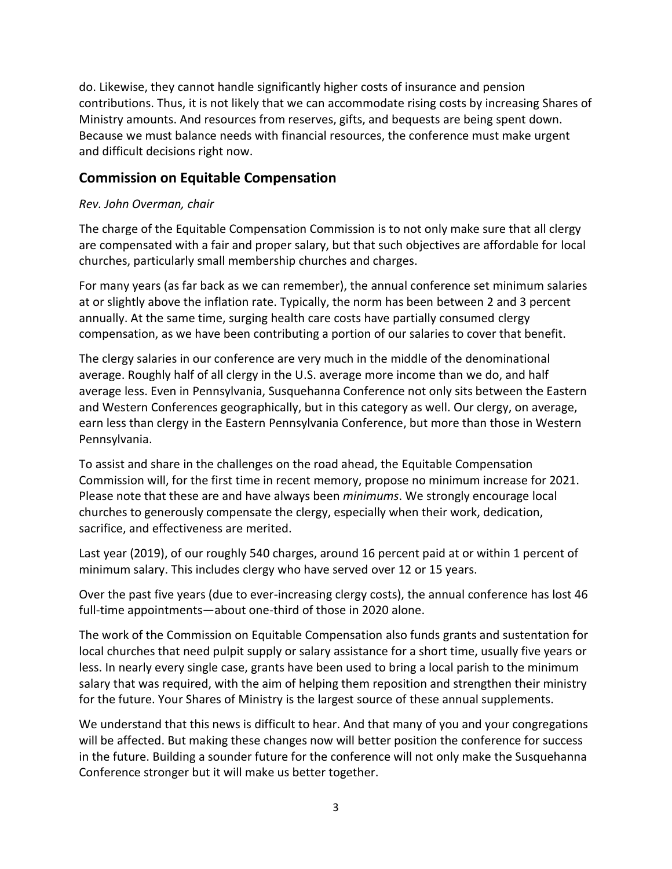do. Likewise, they cannot handle significantly higher costs of insurance and pension contributions. Thus, it is not likely that we can accommodate rising costs by increasing Shares of Ministry amounts. And resources from reserves, gifts, and bequests are being spent down. Because we must balance needs with financial resources, the conference must make urgent and difficult decisions right now.

## **Commission on Equitable Compensation**

#### *Rev. John Overman, chair*

The charge of the Equitable Compensation Commission is to not only make sure that all clergy are compensated with a fair and proper salary, but that such objectives are affordable for local churches, particularly small membership churches and charges.

For many years (as far back as we can remember), the annual conference set minimum salaries at or slightly above the inflation rate. Typically, the norm has been between 2 and 3 percent annually. At the same time, surging health care costs have partially consumed clergy compensation, as we have been contributing a portion of our salaries to cover that benefit.

The clergy salaries in our conference are very much in the middle of the denominational average. Roughly half of all clergy in the U.S. average more income than we do, and half average less. Even in Pennsylvania, Susquehanna Conference not only sits between the Eastern and Western Conferences geographically, but in this category as well. Our clergy, on average, earn less than clergy in the Eastern Pennsylvania Conference, but more than those in Western Pennsylvania.

To assist and share in the challenges on the road ahead, the Equitable Compensation Commission will, for the first time in recent memory, propose no minimum increase for 2021. Please note that these are and have always been *minimums*. We strongly encourage local churches to generously compensate the clergy, especially when their work, dedication, sacrifice, and effectiveness are merited.

Last year (2019), of our roughly 540 charges, around 16 percent paid at or within 1 percent of minimum salary. This includes clergy who have served over 12 or 15 years.

Over the past five years (due to ever-increasing clergy costs), the annual conference has lost 46 full-time appointments—about one-third of those in 2020 alone.

The work of the Commission on Equitable Compensation also funds grants and sustentation for local churches that need pulpit supply or salary assistance for a short time, usually five years or less. In nearly every single case, grants have been used to bring a local parish to the minimum salary that was required, with the aim of helping them reposition and strengthen their ministry for the future. Your Shares of Ministry is the largest source of these annual supplements.

We understand that this news is difficult to hear. And that many of you and your congregations will be affected. But making these changes now will better position the conference for success in the future. Building a sounder future for the conference will not only make the Susquehanna Conference stronger but it will make us better together.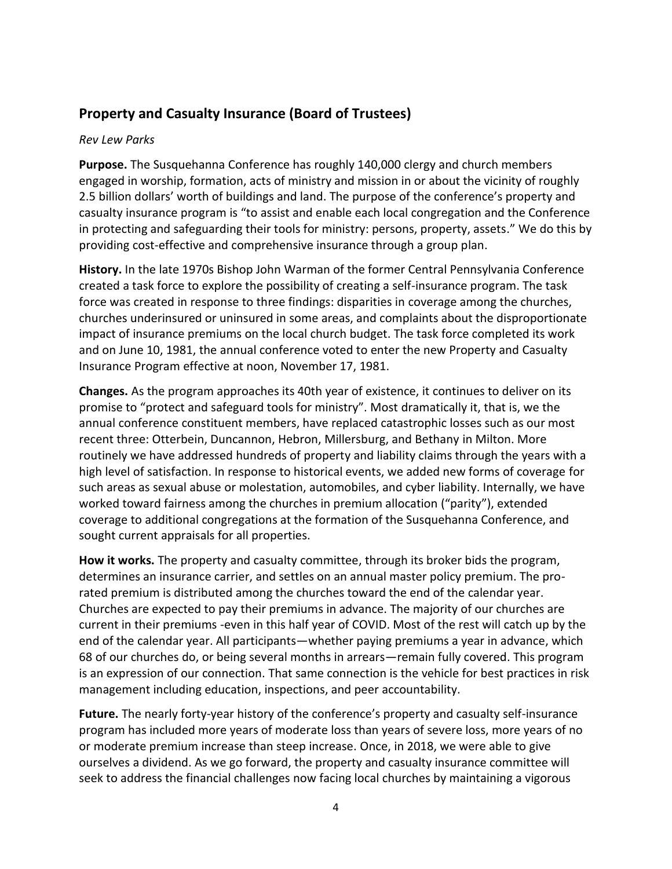# **Property and Casualty Insurance (Board of Trustees)**

#### *Rev Lew Parks*

**Purpose.** The Susquehanna Conference has roughly 140,000 clergy and church members engaged in worship, formation, acts of ministry and mission in or about the vicinity of roughly 2.5 billion dollars' worth of buildings and land. The purpose of the conference's property and casualty insurance program is "to assist and enable each local congregation and the Conference in protecting and safeguarding their tools for ministry: persons, property, assets." We do this by providing cost-effective and comprehensive insurance through a group plan.

**History.** In the late 1970s Bishop John Warman of the former Central Pennsylvania Conference created a task force to explore the possibility of creating a self-insurance program. The task force was created in response to three findings: disparities in coverage among the churches, churches underinsured or uninsured in some areas, and complaints about the disproportionate impact of insurance premiums on the local church budget. The task force completed its work and on June 10, 1981, the annual conference voted to enter the new Property and Casualty Insurance Program effective at noon, November 17, 1981.

**Changes.** As the program approaches its 40th year of existence, it continues to deliver on its promise to "protect and safeguard tools for ministry". Most dramatically it, that is, we the annual conference constituent members, have replaced catastrophic losses such as our most recent three: Otterbein, Duncannon, Hebron, Millersburg, and Bethany in Milton. More routinely we have addressed hundreds of property and liability claims through the years with a high level of satisfaction. In response to historical events, we added new forms of coverage for such areas as sexual abuse or molestation, automobiles, and cyber liability. Internally, we have worked toward fairness among the churches in premium allocation ("parity"), extended coverage to additional congregations at the formation of the Susquehanna Conference, and sought current appraisals for all properties.

**How it works.** The property and casualty committee, through its broker bids the program, determines an insurance carrier, and settles on an annual master policy premium. The prorated premium is distributed among the churches toward the end of the calendar year. Churches are expected to pay their premiums in advance. The majority of our churches are current in their premiums -even in this half year of COVID. Most of the rest will catch up by the end of the calendar year. All participants—whether paying premiums a year in advance, which 68 of our churches do, or being several months in arrears—remain fully covered. This program is an expression of our connection. That same connection is the vehicle for best practices in risk management including education, inspections, and peer accountability.

**Future.** The nearly forty-year history of the conference's property and casualty self-insurance program has included more years of moderate loss than years of severe loss, more years of no or moderate premium increase than steep increase. Once, in 2018, we were able to give ourselves a dividend. As we go forward, the property and casualty insurance committee will seek to address the financial challenges now facing local churches by maintaining a vigorous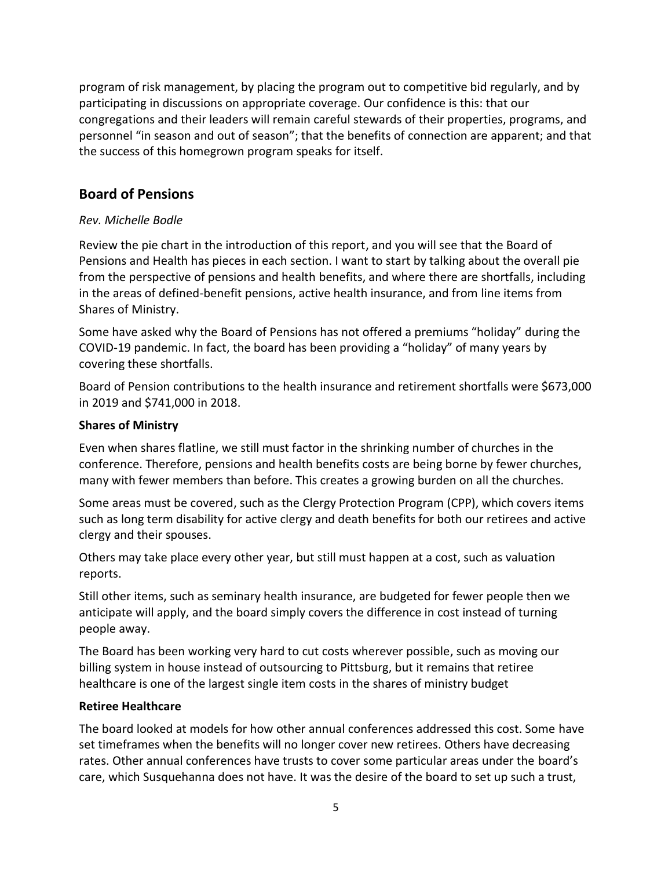program of risk management, by placing the program out to competitive bid regularly, and by participating in discussions on appropriate coverage. Our confidence is this: that our congregations and their leaders will remain careful stewards of their properties, programs, and personnel "in season and out of season"; that the benefits of connection are apparent; and that the success of this homegrown program speaks for itself.

# **Board of Pensions**

## *Rev. Michelle Bodle*

Review the pie chart in the introduction of this report, and you will see that the Board of Pensions and Health has pieces in each section. I want to start by talking about the overall pie from the perspective of pensions and health benefits, and where there are shortfalls, including in the areas of defined-benefit pensions, active health insurance, and from line items from Shares of Ministry.

Some have asked why the Board of Pensions has not offered a premiums "holiday" during the COVID-19 pandemic. In fact, the board has been providing a "holiday" of many years by covering these shortfalls.

Board of Pension contributions to the health insurance and retirement shortfalls were \$673,000 in 2019 and \$741,000 in 2018.

## **Shares of Ministry**

Even when shares flatline, we still must factor in the shrinking number of churches in the conference. Therefore, pensions and health benefits costs are being borne by fewer churches, many with fewer members than before. This creates a growing burden on all the churches.

Some areas must be covered, such as the Clergy Protection Program (CPP), which covers items such as long term disability for active clergy and death benefits for both our retirees and active clergy and their spouses.

Others may take place every other year, but still must happen at a cost, such as valuation reports.

Still other items, such as seminary health insurance, are budgeted for fewer people then we anticipate will apply, and the board simply covers the difference in cost instead of turning people away.

The Board has been working very hard to cut costs wherever possible, such as moving our billing system in house instead of outsourcing to Pittsburg, but it remains that retiree healthcare is one of the largest single item costs in the shares of ministry budget

## **Retiree Healthcare**

The board looked at models for how other annual conferences addressed this cost. Some have set timeframes when the benefits will no longer cover new retirees. Others have decreasing rates. Other annual conferences have trusts to cover some particular areas under the board's care, which Susquehanna does not have. It was the desire of the board to set up such a trust,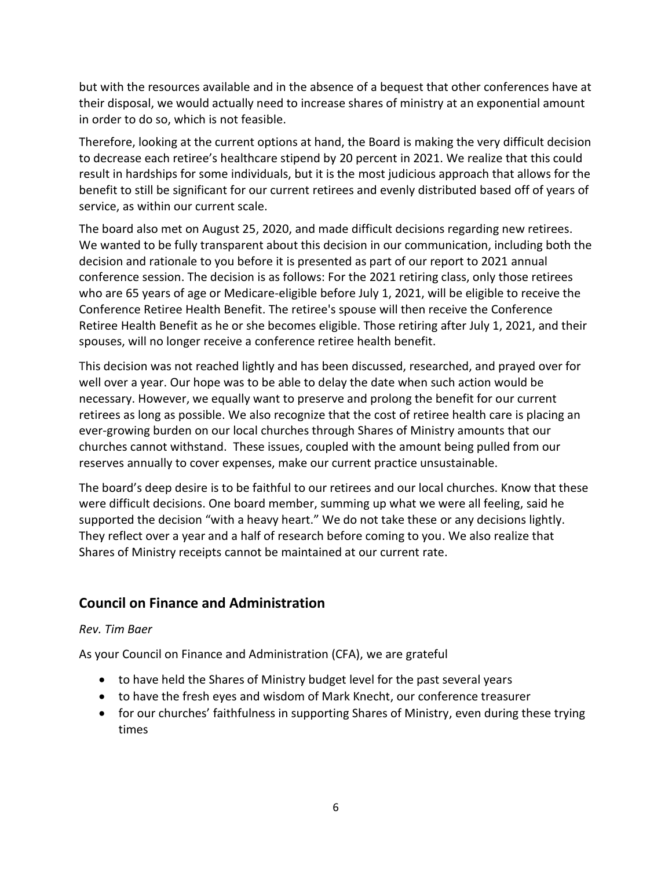but with the resources available and in the absence of a bequest that other conferences have at their disposal, we would actually need to increase shares of ministry at an exponential amount in order to do so, which is not feasible.

Therefore, looking at the current options at hand, the Board is making the very difficult decision to decrease each retiree's healthcare stipend by 20 percent in 2021. We realize that this could result in hardships for some individuals, but it is the most judicious approach that allows for the benefit to still be significant for our current retirees and evenly distributed based off of years of service, as within our current scale.

The board also met on August 25, 2020, and made difficult decisions regarding new retirees. We wanted to be fully transparent about this decision in our communication, including both the decision and rationale to you before it is presented as part of our report to 2021 annual conference session. The decision is as follows: For the 2021 retiring class, only those retirees who are 65 years of age or Medicare-eligible before July 1, 2021, will be eligible to receive the Conference Retiree Health Benefit. The retiree's spouse will then receive the Conference Retiree Health Benefit as he or she becomes eligible. Those retiring after July 1, 2021, and their spouses, will no longer receive a conference retiree health benefit.

This decision was not reached lightly and has been discussed, researched, and prayed over for well over a year. Our hope was to be able to delay the date when such action would be necessary. However, we equally want to preserve and prolong the benefit for our current retirees as long as possible. We also recognize that the cost of retiree health care is placing an ever-growing burden on our local churches through Shares of Ministry amounts that our churches cannot withstand. These issues, coupled with the amount being pulled from our reserves annually to cover expenses, make our current practice unsustainable.

The board's deep desire is to be faithful to our retirees and our local churches. Know that these were difficult decisions. One board member, summing up what we were all feeling, said he supported the decision "with a heavy heart." We do not take these or any decisions lightly. They reflect over a year and a half of research before coming to you. We also realize that Shares of Ministry receipts cannot be maintained at our current rate.

# **Council on Finance and Administration**

## *Rev. Tim Baer*

As your Council on Finance and Administration (CFA), we are grateful

- to have held the Shares of Ministry budget level for the past several years
- to have the fresh eyes and wisdom of Mark Knecht, our conference treasurer
- for our churches' faithfulness in supporting Shares of Ministry, even during these trying times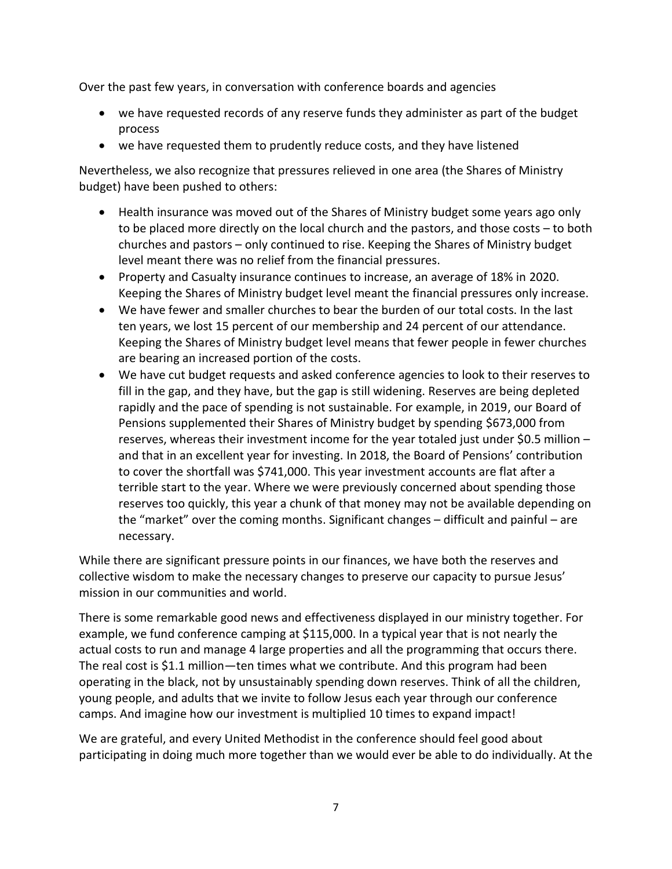Over the past few years, in conversation with conference boards and agencies

- we have requested records of any reserve funds they administer as part of the budget process
- we have requested them to prudently reduce costs, and they have listened

Nevertheless, we also recognize that pressures relieved in one area (the Shares of Ministry budget) have been pushed to others:

- Health insurance was moved out of the Shares of Ministry budget some years ago only to be placed more directly on the local church and the pastors, and those costs – to both churches and pastors – only continued to rise. Keeping the Shares of Ministry budget level meant there was no relief from the financial pressures.
- Property and Casualty insurance continues to increase, an average of 18% in 2020. Keeping the Shares of Ministry budget level meant the financial pressures only increase.
- We have fewer and smaller churches to bear the burden of our total costs. In the last ten years, we lost 15 percent of our membership and 24 percent of our attendance. Keeping the Shares of Ministry budget level means that fewer people in fewer churches are bearing an increased portion of the costs.
- We have cut budget requests and asked conference agencies to look to their reserves to fill in the gap, and they have, but the gap is still widening. Reserves are being depleted rapidly and the pace of spending is not sustainable. For example, in 2019, our Board of Pensions supplemented their Shares of Ministry budget by spending \$673,000 from reserves, whereas their investment income for the year totaled just under \$0.5 million – and that in an excellent year for investing. In 2018, the Board of Pensions' contribution to cover the shortfall was \$741,000. This year investment accounts are flat after a terrible start to the year. Where we were previously concerned about spending those reserves too quickly, this year a chunk of that money may not be available depending on the "market" over the coming months. Significant changes – difficult and painful – are necessary.

While there are significant pressure points in our finances, we have both the reserves and collective wisdom to make the necessary changes to preserve our capacity to pursue Jesus' mission in our communities and world.

There is some remarkable good news and effectiveness displayed in our ministry together. For example, we fund conference camping at \$115,000. In a typical year that is not nearly the actual costs to run and manage 4 large properties and all the programming that occurs there. The real cost is \$1.1 million—ten times what we contribute. And this program had been operating in the black, not by unsustainably spending down reserves. Think of all the children, young people, and adults that we invite to follow Jesus each year through our conference camps. And imagine how our investment is multiplied 10 times to expand impact!

We are grateful, and every United Methodist in the conference should feel good about participating in doing much more together than we would ever be able to do individually. At the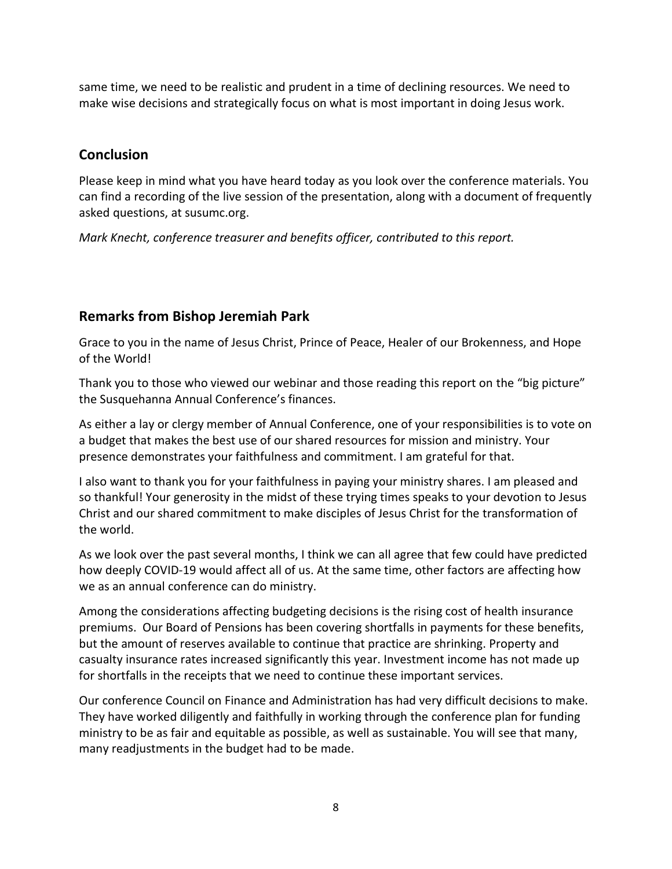same time, we need to be realistic and prudent in a time of declining resources. We need to make wise decisions and strategically focus on what is most important in doing Jesus work.

# **Conclusion**

Please keep in mind what you have heard today as you look over the conference materials. You can find a recording of the live session of the presentation, along with a document of frequently asked questions, at susumc.org.

*Mark Knecht, conference treasurer and benefits officer, contributed to this report.*

# **Remarks from Bishop Jeremiah Park**

Grace to you in the name of Jesus Christ, Prince of Peace, Healer of our Brokenness, and Hope of the World!

Thank you to those who viewed our webinar and those reading this report on the "big picture" the Susquehanna Annual Conference's finances.

As either a lay or clergy member of Annual Conference, one of your responsibilities is to vote on a budget that makes the best use of our shared resources for mission and ministry. Your presence demonstrates your faithfulness and commitment. I am grateful for that.

I also want to thank you for your faithfulness in paying your ministry shares. I am pleased and so thankful! Your generosity in the midst of these trying times speaks to your devotion to Jesus Christ and our shared commitment to make disciples of Jesus Christ for the transformation of the world.

As we look over the past several months, I think we can all agree that few could have predicted how deeply COVID-19 would affect all of us. At the same time, other factors are affecting how we as an annual conference can do ministry.

Among the considerations affecting budgeting decisions is the rising cost of health insurance premiums. Our Board of Pensions has been covering shortfalls in payments for these benefits, but the amount of reserves available to continue that practice are shrinking. Property and casualty insurance rates increased significantly this year. Investment income has not made up for shortfalls in the receipts that we need to continue these important services.

Our conference Council on Finance and Administration has had very difficult decisions to make. They have worked diligently and faithfully in working through the conference plan for funding ministry to be as fair and equitable as possible, as well as sustainable. You will see that many, many readjustments in the budget had to be made.